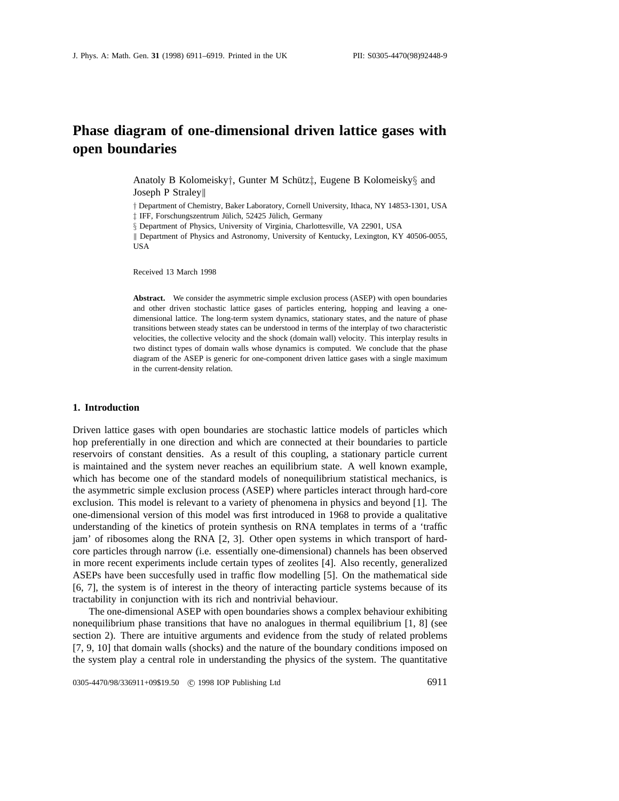# **Phase diagram of one-dimensional driven lattice gases with open boundaries**

Anatoly B Kolomeisky<sup>†</sup>, Gunter M Schütz<sup>†</sup>, Eugene B Kolomeisky<sup>§</sup> and Joseph P Straley

*†* Department of Chemistry, Baker Laboratory, Cornell University, Ithaca, NY 14853-1301, USA  $\ddagger$  IFF, Forschungszentrum Jülich, 52425 Jülich, Germany

*§* Department of Physics, University of Virginia, Charlottesville, VA 22901, USA

|| Department of Physics and Astronomy, University of Kentucky, Lexington, KY 40506-0055, USA

Received 13 March 1998

**Abstract.** We consider the asymmetric simple exclusion process (ASEP) with open boundaries and other driven stochastic lattice gases of particles entering, hopping and leaving a onedimensional lattice. The long-term system dynamics, stationary states, and the nature of phase transitions between steady states can be understood in terms of the interplay of two characteristic velocities, the collective velocity and the shock (domain wall) velocity. This interplay results in two distinct types of domain walls whose dynamics is computed. We conclude that the phase diagram of the ASEP is generic for one-component driven lattice gases with a single maximum in the current-density relation.

## **1. Introduction**

Driven lattice gases with open boundaries are stochastic lattice models of particles which hop preferentially in one direction and which are connected at their boundaries to particle reservoirs of constant densities. As a result of this coupling, a stationary particle current is maintained and the system never reaches an equilibrium state. A well known example, which has become one of the standard models of nonequilibrium statistical mechanics, is the asymmetric simple exclusion process (ASEP) where particles interact through hard-core exclusion. This model is relevant to a variety of phenomena in physics and beyond [1]. The one-dimensional version of this model was first introduced in 1968 to provide a qualitative understanding of the kinetics of protein synthesis on RNA templates in terms of a 'traffic jam' of ribosomes along the RNA [2, 3]. Other open systems in which transport of hardcore particles through narrow (i.e. essentially one-dimensional) channels has been observed in more recent experiments include certain types of zeolites [4]. Also recently, generalized ASEPs have been succesfully used in traffic flow modelling [5]. On the mathematical side [6, 7], the system is of interest in the theory of interacting particle systems because of its tractability in conjunction with its rich and nontrivial behaviour.

The one-dimensional ASEP with open boundaries shows a complex behaviour exhibiting nonequilibrium phase transitions that have no analogues in thermal equilibrium [1, 8] (see section 2). There are intuitive arguments and evidence from the study of related problems [7, 9, 10] that domain walls (shocks) and the nature of the boundary conditions imposed on the system play a central role in understanding the physics of the system. The quantitative

0305-4470/98/336911+09\$19.50 © 1998 IOP Publishing Ltd 6911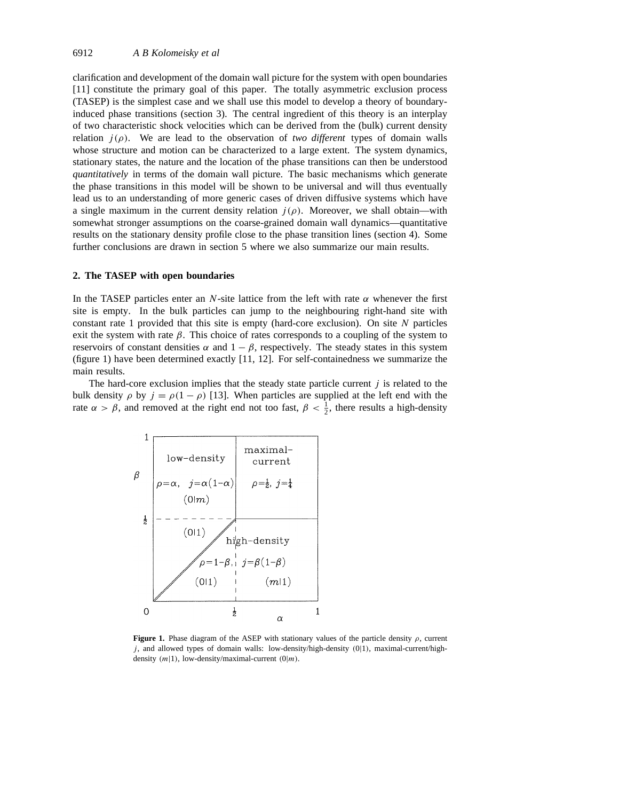clarification and development of the domain wall picture for the system with open boundaries [11] constitute the primary goal of this paper. The totally asymmetric exclusion process (TASEP) is the simplest case and we shall use this model to develop a theory of boundaryinduced phase transitions (section 3). The central ingredient of this theory is an interplay of two characteristic shock velocities which can be derived from the (bulk) current density relation  $j(\rho)$ . We are lead to the observation of *two different* types of domain walls whose structure and motion can be characterized to a large extent. The system dynamics, stationary states, the nature and the location of the phase transitions can then be understood *quantitatively* in terms of the domain wall picture. The basic mechanisms which generate the phase transitions in this model will be shown to be universal and will thus eventually lead us to an understanding of more generic cases of driven diffusive systems which have a single maximum in the current density relation  $j(\rho)$ . Moreover, we shall obtain—with somewhat stronger assumptions on the coarse-grained domain wall dynamics—quantitative results on the stationary density profile close to the phase transition lines (section 4). Some further conclusions are drawn in section 5 where we also summarize our main results.

## **2. The TASEP with open boundaries**

In the TASEP particles enter an *N*-site lattice from the left with rate  $\alpha$  whenever the first site is empty. In the bulk particles can jump to the neighbouring right-hand site with constant rate 1 provided that this site is empty (hard-core exclusion). On site *N* particles exit the system with rate  $\beta$ . This choice of rates corresponds to a coupling of the system to reservoirs of constant densities  $\alpha$  and  $1 - \beta$ , respectively. The steady states in this system (figure 1) have been determined exactly [11, 12]. For self-containedness we summarize the main results.

The hard-core exclusion implies that the steady state particle current *j* is related to the bulk density  $\rho$  by  $j = \rho(1 - \rho)$  [13]. When particles are supplied at the left end with the rate  $\alpha > \beta$ , and removed at the right end not too fast,  $\beta < \frac{1}{2}$ , there results a high-density



**Figure 1.** Phase diagram of the ASEP with stationary values of the particle density *ρ*, current *j* , and allowed types of domain walls: low-density/high-density *(*0|1*)*, maximal-current/highdensity *(m*|1*)*, low-density/maximal-current *(*0|*m)*.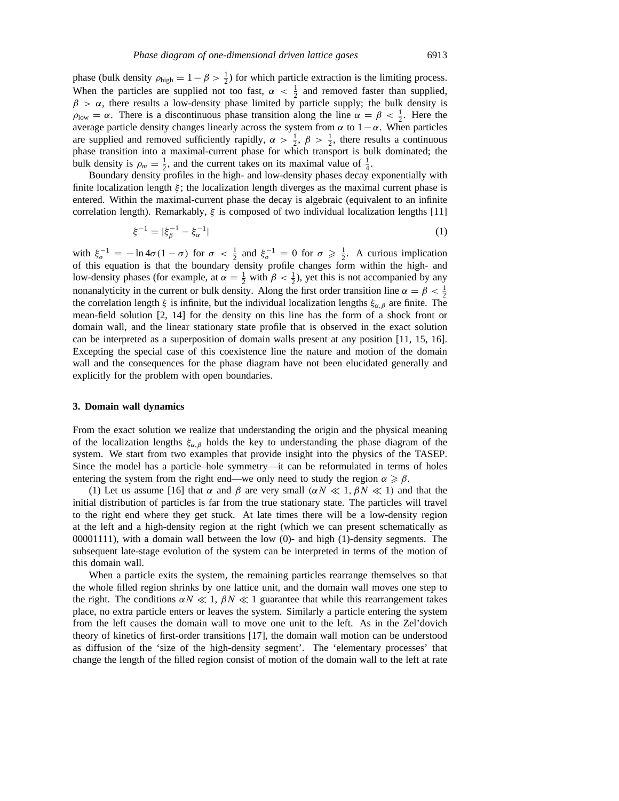phase (bulk density  $\rho_{\text{high}} = 1 - \beta > \frac{1}{2}$ ) for which particle extraction is the limiting process. When the particles are supplied not too fast,  $\alpha < \frac{1}{2}$  and removed faster than supplied,  $\beta > \alpha$ , there results a low-density phase limited by particle supply; the bulk density is  $\rho_{\text{low}} = \alpha$ . There is a discontinuous phase transition along the line  $\alpha = \beta < \frac{1}{2}$ . Here the average particle density changes linearly across the system from *α* to  $1 - α$ . When particles are supplied and removed sufficiently rapidly,  $\alpha > \frac{1}{2}$ ,  $\beta > \frac{1}{2}$ , there results a continuous phase transition into a maximal-current phase for which transport is bulk dominated; the bulk density is  $\rho_m = \frac{1}{2}$ , and the current takes on its maximal value of  $\frac{1}{4}$ .

Boundary density profiles in the high- and low-density phases decay exponentially with finite localization length  $\xi$ ; the localization length diverges as the maximal current phase is entered. Within the maximal-current phase the decay is algebraic (equivalent to an infinite correlation length). Remarkably, *ξ* is composed of two individual localization lengths [11]

$$
\xi^{-1} = |\xi_{\beta}^{-1} - \xi_{\alpha}^{-1}| \tag{1}
$$

with  $\xi_{\sigma}^{-1} = -\ln 4\sigma (1 - \sigma)$  for  $\sigma < \frac{1}{2}$  and  $\xi_{\sigma}^{-1} = 0$  for  $\sigma \ge \frac{1}{2}$ . A curious implication of this equation is that the boundary density profile changes form within the high- and low-density phases (for example, at  $\alpha = \frac{1}{2}$  with  $\beta < \frac{1}{2}$ ), yet this is not accompanied by any nonanalyticity in the current or bulk density. Along the first order transition line  $\alpha = \beta < \frac{1}{2}$ the correlation length *ξ* is infinite, but the individual localization lengths *ξα,β* are finite. The mean-field solution [2, 14] for the density on this line has the form of a shock front or domain wall, and the linear stationary state profile that is observed in the exact solution can be interpreted as a superposition of domain walls present at any position [11, 15, 16]. Excepting the special case of this coexistence line the nature and motion of the domain wall and the consequences for the phase diagram have not been elucidated generally and explicitly for the problem with open boundaries.

#### **3. Domain wall dynamics**

From the exact solution we realize that understanding the origin and the physical meaning of the localization lengths  $\xi_{\alpha,\beta}$  holds the key to understanding the phase diagram of the system. We start from two examples that provide insight into the physics of the TASEP. Since the model has a particle–hole symmetry—it can be reformulated in terms of holes entering the system from the right end—we only need to study the region  $\alpha \geq \beta$ .

(1) Let us assume [16] that  $\alpha$  and  $\beta$  are very small  $(\alpha N \ll 1, \beta N \ll 1)$  and that the initial distribution of particles is far from the true stationary state. The particles will travel to the right end where they get stuck. At late times there will be a low-density region at the left and a high-density region at the right (which we can present schematically as 00001111), with a domain wall between the low (0)- and high (1)-density segments. The subsequent late-stage evolution of the system can be interpreted in terms of the motion of this domain wall.

When a particle exits the system, the remaining particles rearrange themselves so that the whole filled region shrinks by one lattice unit, and the domain wall moves one step to the right. The conditions  $\alpha N \ll 1$ ,  $\beta N \ll 1$  guarantee that while this rearrangement takes place, no extra particle enters or leaves the system. Similarly a particle entering the system from the left causes the domain wall to move one unit to the left. As in the Zel'dovich theory of kinetics of first-order transitions [17], the domain wall motion can be understood as diffusion of the 'size of the high-density segment'. The 'elementary processes' that change the length of the filled region consist of motion of the domain wall to the left at rate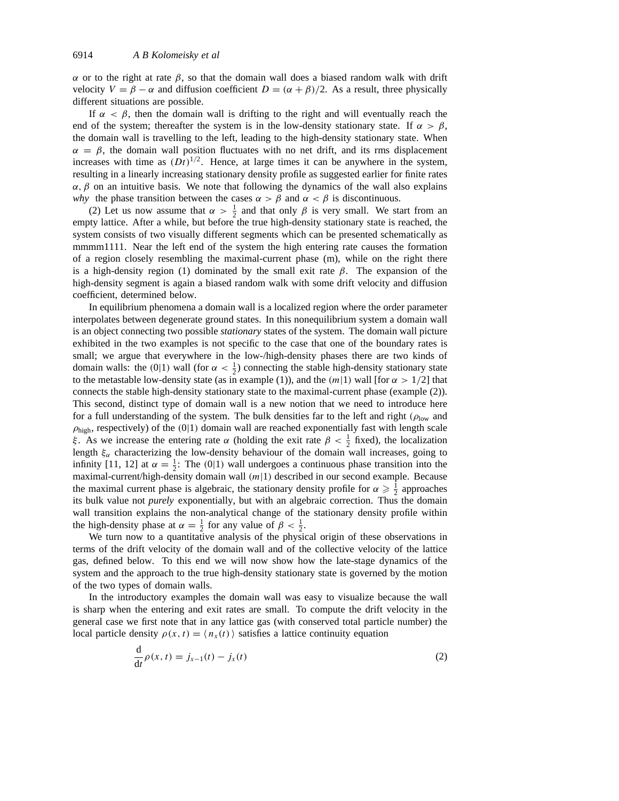*α* or to the right at rate *β*, so that the domain wall does a biased random walk with drift velocity  $V = \beta - \alpha$  and diffusion coefficient  $D = (\alpha + \beta)/2$ . As a result, three physically different situations are possible.

If  $\alpha < \beta$ , then the domain wall is drifting to the right and will eventually reach the end of the system; thereafter the system is in the low-density stationary state. If  $\alpha > \beta$ , the domain wall is travelling to the left, leading to the high-density stationary state. When  $\alpha = \beta$ , the domain wall position fluctuates with no net drift, and its rms displacement increases with time as  $(Dt)^{1/2}$ . Hence, at large times it can be anywhere in the system, resulting in a linearly increasing stationary density profile as suggested earlier for finite rates  $α, β$  on an intuitive basis. We note that following the dynamics of the wall also explains *why* the phase transition between the cases  $\alpha > \beta$  and  $\alpha < \beta$  is discontinuous.

(2) Let us now assume that  $\alpha > \frac{1}{2}$  and that only  $\beta$  is very small. We start from an empty lattice. After a while, but before the true high-density stationary state is reached, the system consists of two visually different segments which can be presented schematically as mmmm1111. Near the left end of the system the high entering rate causes the formation of a region closely resembling the maximal-current phase (m), while on the right there is a high-density region (1) dominated by the small exit rate *β*. The expansion of the high-density segment is again a biased random walk with some drift velocity and diffusion coefficient, determined below.

In equilibrium phenomena a domain wall is a localized region where the order parameter interpolates between degenerate ground states. In this nonequilibrium system a domain wall is an object connecting two possible *stationary* states of the system. The domain wall picture exhibited in the two examples is not specific to the case that one of the boundary rates is small; we argue that everywhere in the low-/high-density phases there are two kinds of domain walls: the  $(0|1)$  wall (for  $\alpha < \frac{1}{2}$ ) connecting the stable high-density stationary state to the metastable low-density state (as in example (1)), and the  $(m|1)$  wall [for  $\alpha > 1/2$ ] that connects the stable high-density stationary state to the maximal-current phase (example (2)). This second, distinct type of domain wall is a new notion that we need to introduce here for a full understanding of the system. The bulk densities far to the left and right  $(\rho_{low}$  and *ρ*high, respectively) of the *(*0|1*)* domain wall are reached exponentially fast with length scale *ξ*. As we increase the entering rate *α* (holding the exit rate  $\beta < \frac{1}{2}$  fixed), the localization length  $\xi_{\alpha}$  characterizing the low-density behaviour of the domain wall increases, going to infinity [11, 12] at  $\alpha = \frac{1}{2}$ : The (0|1) wall undergoes a continuous phase transition into the maximal-current/high-density domain wall *(m*|1*)* described in our second example. Because the maximal current phase is algebraic, the stationary density profile for  $\alpha \geq \frac{1}{2}$  approaches its bulk value not *purely* exponentially, but with an algebraic correction. Thus the domain wall transition explains the non-analytical change of the stationary density profile within the high-density phase at  $\alpha = \frac{1}{2}$  for any value of  $\beta < \frac{1}{2}$ .

We turn now to a quantitative analysis of the physical origin of these observations in terms of the drift velocity of the domain wall and of the collective velocity of the lattice gas, defined below. To this end we will now show how the late-stage dynamics of the system and the approach to the true high-density stationary state is governed by the motion of the two types of domain walls.

In the introductory examples the domain wall was easy to visualize because the wall is sharp when the entering and exit rates are small. To compute the drift velocity in the general case we first note that in any lattice gas (with conserved total particle number) the local particle density  $\rho(x, t) = \langle n_x(t) \rangle$  satisfies a lattice continuity equation

$$
\frac{\mathrm{d}}{\mathrm{d}t}\rho(x,t) = j_{x-1}(t) - j_x(t) \tag{2}
$$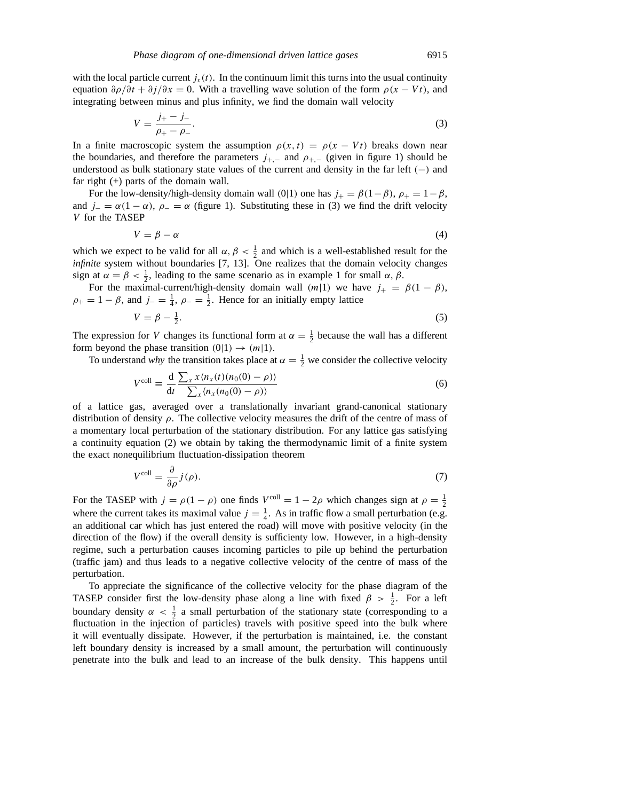with the local particle current  $j_x(t)$ . In the continuum limit this turns into the usual continuity equation *∂ρ/∂t* + *∂j/∂x* = 0. With a travelling wave solution of the form *ρ(x* − *Vt)*, and integrating between minus and plus infinity, we find the domain wall velocity

$$
V = \frac{j_{+} - j_{-}}{\rho_{+} - \rho_{-}}.\tag{3}
$$

In a finite macroscopic system the assumption  $\rho(x, t) = \rho(x - Vt)$  breaks down near the boundaries, and therefore the parameters  $j_{+,-}$  and  $\rho_{+,-}$  (given in figure 1) should be understood as bulk stationary state values of the current and density in the far left *(*−*)* and far right (+) parts of the domain wall.

For the low-density/high-density domain wall (0|1) one has  $j_{+} = \beta(1-\beta)$ ,  $\rho_{+} = 1-\beta$ , and  $j_-\equiv \alpha(1-\alpha)$ ,  $\rho_-\equiv \alpha$  (figure 1). Substituting these in (3) we find the drift velocity *V* for the TASEP

$$
V = \beta - \alpha \tag{4}
$$

which we expect to be valid for all  $\alpha$ ,  $\beta < \frac{1}{2}$  and which is a well-established result for the *infinite* system without boundaries [7, 13]. One realizes that the domain velocity changes sign at  $\alpha = \beta < \frac{1}{2}$ , leading to the same scenario as in example 1 for small  $\alpha$ ,  $\beta$ .

For the maximal-current/high-density domain wall  $(m|1)$  we have  $j_{+} = \beta(1 - \beta)$ ,  $\rho_+ = 1 - \beta$ , and  $j_- = \frac{1}{4}$ ,  $\rho_- = \frac{1}{2}$ . Hence for an initially empty lattice

$$
V = \beta - \frac{1}{2}.\tag{5}
$$

The expression for *V* changes its functional form at  $\alpha = \frac{1}{2}$  because the wall has a different form beyond the phase transition  $(0|1) \rightarrow (m|1)$ .

To understand *why* the transition takes place at  $\alpha = \frac{1}{2}$  we consider the collective velocity

$$
V^{\text{coll}} \equiv \frac{\mathrm{d}}{\mathrm{d}t} \frac{\sum_{x} x \langle n_x(t) (n_0(0) - \rho) \rangle}{\sum_{x} \langle n_x(n_0(0) - \rho) \rangle} \tag{6}
$$

of a lattice gas, averaged over a translationally invariant grand-canonical stationary distribution of density *ρ*. The collective velocity measures the drift of the centre of mass of a momentary local perturbation of the stationary distribution. For any lattice gas satisfying a continuity equation (2) we obtain by taking the thermodynamic limit of a finite system the exact nonequilibrium fluctuation-dissipation theorem

$$
V^{\text{coll}} = \frac{\partial}{\partial \rho} j(\rho). \tag{7}
$$

For the TASEP with  $j = \rho(1 - \rho)$  one finds  $V^{\text{coll}} = 1 - 2\rho$  which changes sign at  $\rho = \frac{1}{2}$ where the current takes its maximal value  $j = \frac{1}{4}$ . As in traffic flow a small perturbation (e.g. an additional car which has just entered the road) will move with positive velocity (in the direction of the flow) if the overall density is sufficienty low. However, in a high-density regime, such a perturbation causes incoming particles to pile up behind the perturbation (traffic jam) and thus leads to a negative collective velocity of the centre of mass of the perturbation.

To appreciate the significance of the collective velocity for the phase diagram of the TASEP consider first the low-density phase along a line with fixed  $\beta > \frac{1}{2}$ . For a left boundary density  $\alpha < \frac{1}{2}$  a small perturbation of the stationary state (corresponding to a fluctuation in the injection of particles) travels with positive speed into the bulk where it will eventually dissipate. However, if the perturbation is maintained, i.e. the constant left boundary density is increased by a small amount, the perturbation will continuously penetrate into the bulk and lead to an increase of the bulk density. This happens until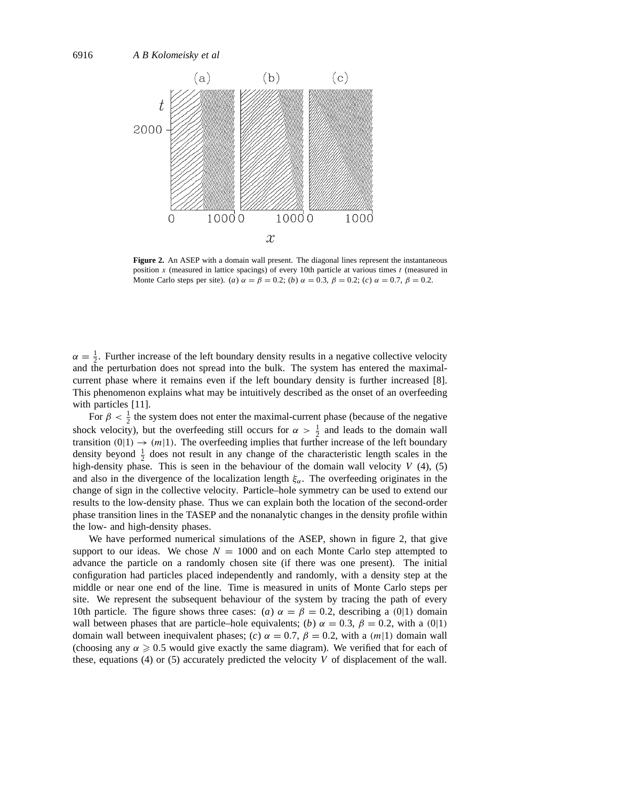

**Figure 2.** An ASEP with a domain wall present. The diagonal lines represent the instantaneous position *x* (measured in lattice spacings) of every 10th particle at various times *t* (measured in Monte Carlo steps per site). (*a*)  $\alpha = \beta = 0.2$ ; (*b*)  $\alpha = 0.3$ ,  $\beta = 0.2$ ; (*c*)  $\alpha = 0.7$ ,  $\beta = 0.2$ .

 $\alpha = \frac{1}{2}$ . Further increase of the left boundary density results in a negative collective velocity and the perturbation does not spread into the bulk. The system has entered the maximalcurrent phase where it remains even if the left boundary density is further increased [8]. This phenomenon explains what may be intuitively described as the onset of an overfeeding with particles [11].

For  $\beta < \frac{1}{2}$  the system does not enter the maximal-current phase (because of the negative shock velocity), but the overfeeding still occurs for  $\alpha > \frac{1}{2}$  and leads to the domain wall transition  $(0|1) \rightarrow (m|1)$ . The overfeeding implies that further increase of the left boundary density beyond  $\frac{1}{2}$  does not result in any change of the characteristic length scales in the high-density phase. This is seen in the behaviour of the domain wall velocity  $V(4)$ , (5) and also in the divergence of the localization length  $\xi_{\alpha}$ . The overfeeding originates in the change of sign in the collective velocity. Particle–hole symmetry can be used to extend our results to the low-density phase. Thus we can explain both the location of the second-order phase transition lines in the TASEP and the nonanalytic changes in the density profile within the low- and high-density phases.

We have performed numerical simulations of the ASEP, shown in figure 2, that give support to our ideas. We chose  $N = 1000$  and on each Monte Carlo step attempted to advance the particle on a randomly chosen site (if there was one present). The initial configuration had particles placed independently and randomly, with a density step at the middle or near one end of the line. Time is measured in units of Monte Carlo steps per site. We represent the subsequent behaviour of the system by tracing the path of every 10th particle. The figure shows three cases: (*a*)  $\alpha = \beta = 0.2$ , describing a (0|1) domain wall between phases that are particle–hole equivalents; (*b*)  $\alpha = 0.3$ ,  $\beta = 0.2$ , with a (0|1) domain wall between inequivalent phases; (*c*)  $\alpha = 0.7$ ,  $\beta = 0.2$ , with a  $(m|1)$  domain wall (choosing any  $\alpha \geq 0.5$  would give exactly the same diagram). We verified that for each of these, equations (4) or (5) accurately predicted the velocity *V* of displacement of the wall.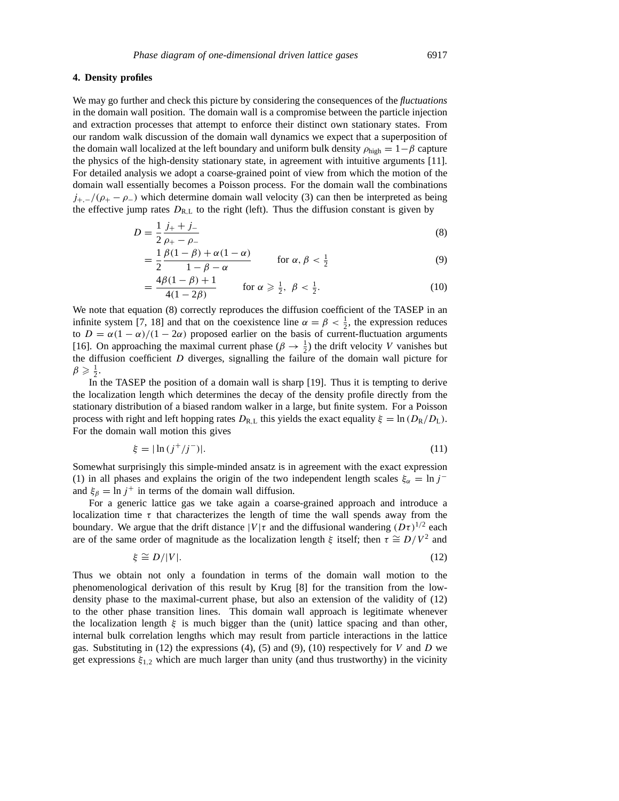## **4. Density profiles**

We may go further and check this picture by considering the consequences of the *fluctuations* in the domain wall position. The domain wall is a compromise between the particle injection and extraction processes that attempt to enforce their distinct own stationary states. From our random walk discussion of the domain wall dynamics we expect that a superposition of the domain wall localized at the left boundary and uniform bulk density  $\rho_{\text{high}} = 1 - \beta$  capture the physics of the high-density stationary state, in agreement with intuitive arguments [11]. For detailed analysis we adopt a coarse-grained point of view from which the motion of the domain wall essentially becomes a Poisson process. For the domain wall the combinations  $j_{+,-}/(\rho_{+}-\rho_{-})$  which determine domain wall velocity (3) can then be interpreted as being the effective jump rates  $D_{R,L}$  to the right (left). Thus the diffusion constant is given by

$$
D = \frac{1}{2} \frac{j_{+} + j_{-}}{\rho_{+} - \rho_{-}} \tag{8}
$$

$$
= \frac{1}{2} \frac{\beta(1-\beta) + \alpha(1-\alpha)}{1-\beta-\alpha} \qquad \text{for } \alpha, \beta < \frac{1}{2}
$$
 (9)

$$
= \frac{4\beta(1-\beta)+1}{4(1-2\beta)} \quad \text{for } \alpha \geqslant \frac{1}{2}, \ \beta < \frac{1}{2}.\tag{10}
$$

We note that equation (8) correctly reproduces the diffusion coefficient of the TASEP in an infinite system [7, 18] and that on the coexistence line  $\alpha = \beta < \frac{1}{2}$ , the expression reduces to  $D = \alpha(1 - \alpha)/(1 - 2\alpha)$  proposed earlier on the basis of current-fluctuation arguments [16]. On approaching the maximal current phase  $(\beta \to \frac{1}{2})$  the drift velocity *V* vanishes but the diffusion coefficient *D* diverges, signalling the failure of the domain wall picture for  $\beta \geqslant \frac{1}{2}.$ 

In the TASEP the position of a domain wall is sharp [19]. Thus it is tempting to derive the localization length which determines the decay of the density profile directly from the stationary distribution of a biased random walker in a large, but finite system. For a Poisson process with right and left hopping rates  $D_{R,L}$  this yields the exact equality  $\xi = \ln (D_R/D_L)$ . For the domain wall motion this gives

$$
\xi = |\ln (j^+/j^-)|. \tag{11}
$$

Somewhat surprisingly this simple-minded ansatz is in agreement with the exact expression (1) in all phases and explains the origin of the two independent length scales  $\xi_{\alpha} = \ln j^{-1}$ and  $\xi_{\beta} = \ln j^+$  in terms of the domain wall diffusion.

For a generic lattice gas we take again a coarse-grained approach and introduce a localization time  $\tau$  that characterizes the length of time the wall spends away from the boundary. We argue that the drift distance  $|V|\tau$  and the diffusional wandering  $(D\tau)^{1/2}$  each are of the same order of magnitude as the localization length  $\xi$  itself; then  $\tau \cong D/V^2$  and

$$
\xi \cong D/|V|.\tag{12}
$$

Thus we obtain not only a foundation in terms of the domain wall motion to the phenomenological derivation of this result by Krug [8] for the transition from the lowdensity phase to the maximal-current phase, but also an extension of the validity of (12) to the other phase transition lines. This domain wall approach is legitimate whenever the localization length  $\xi$  is much bigger than the (unit) lattice spacing and than other, internal bulk correlation lengths which may result from particle interactions in the lattice gas. Substituting in (12) the expressions (4), (5) and (9), (10) respectively for *V* and *D* we get expressions *ξ*<sup>1</sup>*,*<sup>2</sup> which are much larger than unity (and thus trustworthy) in the vicinity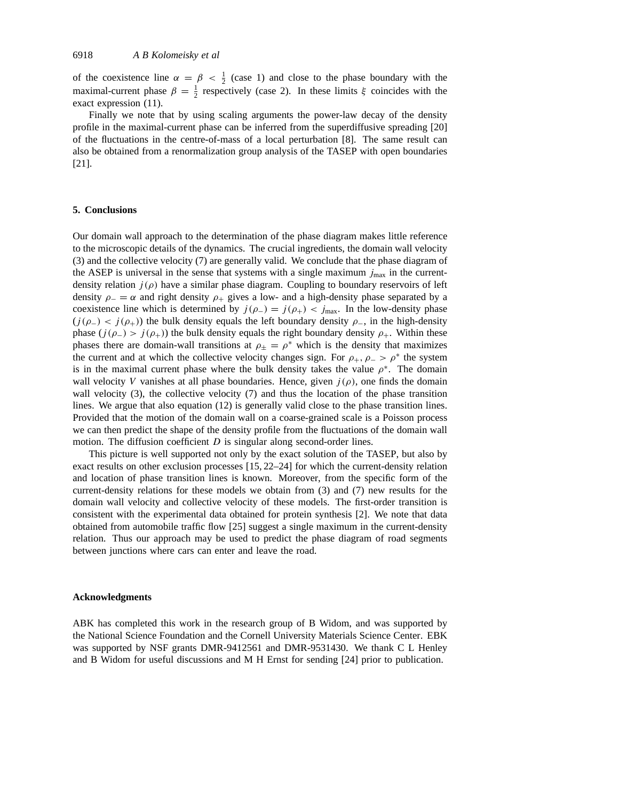of the coexistence line  $\alpha = \beta < \frac{1}{2}$  (case 1) and close to the phase boundary with the maximal-current phase  $\beta = \frac{1}{2}$  respectively (case 2). In these limits  $\xi$  coincides with the exact expression (11).

Finally we note that by using scaling arguments the power-law decay of the density profile in the maximal-current phase can be inferred from the superdiffusive spreading [20] of the fluctuations in the centre-of-mass of a local perturbation [8]. The same result can also be obtained from a renormalization group analysis of the TASEP with open boundaries [21].

## **5. Conclusions**

Our domain wall approach to the determination of the phase diagram makes little reference to the microscopic details of the dynamics. The crucial ingredients, the domain wall velocity (3) and the collective velocity (7) are generally valid. We conclude that the phase diagram of the ASEP is universal in the sense that systems with a single maximum  $j_{\text{max}}$  in the currentdensity relation  $j(\rho)$  have a similar phase diagram. Coupling to boundary reservoirs of left density  $\rho = \alpha$  and right density  $\rho_+$  gives a low- and a high-density phase separated by a coexistence line which is determined by  $j(\rho_{-}) = j(\rho_{+}) < j_{\text{max}}$ . In the low-density phase  $(j(\rho_{-}) < j(\rho_{+})$  the bulk density equals the left boundary density  $\rho_{-}$ , in the high-density phase  $(j(\rho_{-}) > j(\rho_{+})$ ) the bulk density equals the right boundary density  $\rho_{+}$ . Within these phases there are domain-wall transitions at  $\rho_{\pm} = \rho^*$  which is the density that maximizes the current and at which the collective velocity changes sign. For  $\rho_+$ ,  $\rho_-$  >  $\rho^*$  the system is in the maximal current phase where the bulk density takes the value  $\rho^*$ . The domain wall velocity *V* vanishes at all phase boundaries. Hence, given  $j(\rho)$ , one finds the domain wall velocity (3), the collective velocity (7) and thus the location of the phase transition lines. We argue that also equation (12) is generally valid close to the phase transition lines. Provided that the motion of the domain wall on a coarse-grained scale is a Poisson process we can then predict the shape of the density profile from the fluctuations of the domain wall motion. The diffusion coefficient *D* is singular along second-order lines.

This picture is well supported not only by the exact solution of the TASEP, but also by exact results on other exclusion processes [15, 22–24] for which the current-density relation and location of phase transition lines is known. Moreover, from the specific form of the current-density relations for these models we obtain from (3) and (7) new results for the domain wall velocity and collective velocity of these models. The first-order transition is consistent with the experimental data obtained for protein synthesis [2]. We note that data obtained from automobile traffic flow [25] suggest a single maximum in the current-density relation. Thus our approach may be used to predict the phase diagram of road segments between junctions where cars can enter and leave the road.

#### **Acknowledgments**

ABK has completed this work in the research group of B Widom, and was supported by the National Science Foundation and the Cornell University Materials Science Center. EBK was supported by NSF grants DMR-9412561 and DMR-9531430. We thank C L Henley and B Widom for useful discussions and M H Ernst for sending [24] prior to publication.